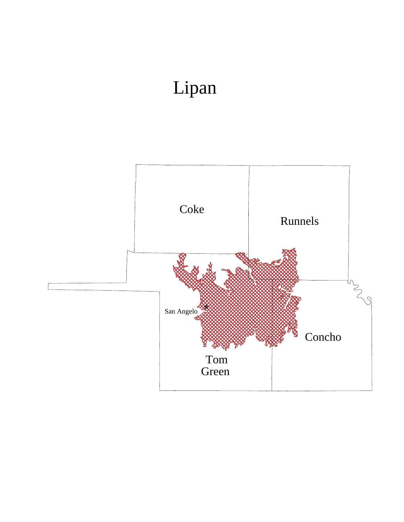## Lipan